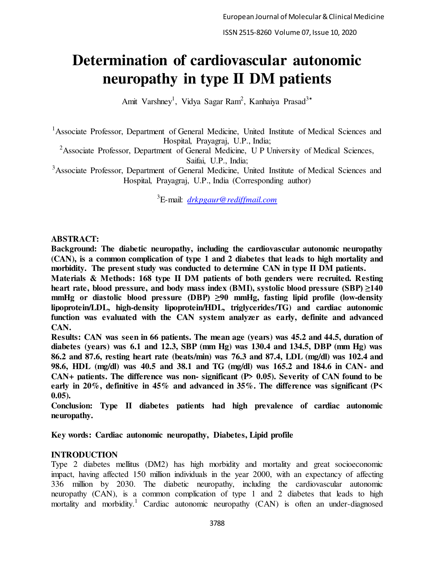# **Determination of cardiovascular autonomic neuropathy in type II DM patients**

Amit Varshney<sup>1</sup>, Vidya Sagar Ram<sup>2</sup>, Kanhaiya Prasad<sup>3\*</sup>

<sup>1</sup> Associate Professor, Department of General Medicine, United Institute of Medical Sciences and Hospital, Prayagraj, U.P., India;

<sup>2</sup>Associate Professor, Department of General Medicine, U P University of Medical Sciences, Saifai, U.P., India;

<sup>3</sup>Associate Professor, Department of General Medicine, United Institute of Medical Sciences and Hospital, Prayagraj, U.P., India (Corresponding author)

<sup>3</sup>E-mail: *[drkpgaur@rediffmail.com](mailto:drkpgaur@rediffmail.com)*

# **ABSTRACT:**

**Background: The diabetic neuropathy, including the cardiovascular autonomic neuropathy (CAN), is a common complication of type 1 and 2 diabetes that leads to high mortality and morbidity. The present study was conducted to determine CAN in type II DM patients.** 

**Materials & Methods: 168 type II DM patients of both genders were recruited. Resting heart rate, blood pressure, and body mass index (BMI), systolic blood pressure (SBP) ≥140 mmHg or diastolic blood pressure (DBP) ≥90 mmHg, fasting lipid profile (low-density lipoprotein/LDL, high-density lipoprotein/HDL, triglycerides/TG) and cardiac autonomic function was evaluated with the CAN system analyzer as early, definite and advanced CAN.**

**Results: CAN was seen in 66 patients. The mean age (years) was 45.2 and 44.5, duration of diabetes (years) was 6.1 and 12.3, SBP (mm Hg) was 130.4 and 134.5, DBP (mm Hg) was 86.2 and 87.6, resting heart rate (beats/min) was 76.3 and 87.4, LDL (mg/dl) was 102.4 and 98.6, HDL (mg/dl) was 40.5 and 38.1 and TG (mg/dl) was 165.2 and 184.6 in CAN- and CAN+ patients. The difference was non- significant (P> 0.05). Severity of CAN found to be early in 20%, definitive in 45% and advanced in 35%. The difference was significant (P< 0.05).**

**Conclusion: Type II diabetes patients had high prevalence of cardiac autonomic neuropathy.** 

**Key words: Cardiac autonomic neuropathy, Diabetes, Lipid profile** 

# **INTRODUCTION**

Type 2 diabetes mellitus (DM2) has high morbidity and mortality and great socioeconomic impact, having affected 150 million individuals in the year 2000, with an expectancy of affecting 336 million by 2030. The diabetic neuropathy, including the cardiovascular autonomic neuropathy (CAN), is a common complication of type 1 and 2 diabetes that leads to high mortality and morbidity.<sup>1</sup> Cardiac autonomic neuropathy (CAN) is often an under-diagnosed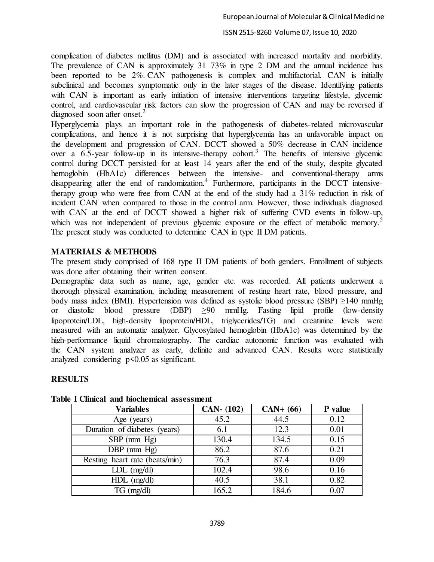#### ISSN 2515-8260 Volume 07, Issue 10, 2020

complication of diabetes mellitus (DM) and is associated with increased mortality and morbidity. The prevalence of CAN is approximately 31–73% in type 2 DM and the annual incidence has been reported to be 2%. CAN pathogenesis is complex and multifactorial. CAN is initially subclinical and becomes symptomatic only in the later stages of the disease. Identifying patients with CAN is important as early initiation of intensive interventions targeting lifestyle, glycemic control, and cardiovascular risk factors can slow the progression of CAN and may be reversed if diagnosed soon after onset. $2$ 

Hyperglycemia plays an important role in the pathogenesis of diabetes-related microvascular complications, and hence it is not surprising that hyperglycemia has an unfavorable impact on the development and progression of CAN. DCCT showed a 50% decrease in CAN incidence over a  $6.5$ -year follow-up in its intensive-therapy cohort.<sup>3</sup> The benefits of intensive glycemic control during DCCT persisted for at least 14 years after the end of the study, despite glycated hemoglobin (HbA1c) differences between the intensive- and conventional-therapy arms disappearing after the end of randomization.<sup>4</sup> Furthermore, participants in the DCCT intensivetherapy group who were free from CAN at the end of the study had a 31% reduction in risk of incident CAN when compared to those in the control arm. However, those individuals diagnosed with CAN at the end of DCCT showed a higher risk of suffering CVD events in follow-up, which was not independent of previous glycemic exposure or the effect of metabolic memory.<sup>5</sup> The present study was conducted to determine CAN in type II DM patients.

## **MATERIALS & METHODS**

The present study comprised of 168 type II DM patients of both genders. Enrollment of subjects was done after obtaining their written consent.

Demographic data such as name, age, gender etc. was recorded. All patients underwent a thorough physical examination, including measurement of resting heart rate, blood pressure, and body mass index (BMI). Hypertension was defined as systolic blood pressure (SBP) ≥140 mmHg or diastolic blood pressure (DBP) ≥90 mmHg. Fasting lipid profile (low-density lipoprotein/LDL, high-density lipoprotein/HDL, triglycerides/TG) and creatinine levels were measured with an automatic analyzer. Glycosylated hemoglobin (HbA1c) was determined by the high-performance liquid chromatography. The cardiac autonomic function was evaluated with the CAN system analyzer as early, definite and advanced CAN. Results were statistically analyzed considering p<0.05 as significant.

## **RESULTS**

| <b>Variables</b>               | CAN. (102) | $CAN+ (66)$ | P value |
|--------------------------------|------------|-------------|---------|
| Age (years)                    | 45.2       | 44.5        | 0.12    |
| Duration of diabetes (years)   | 6.1        | 12.3        | 0.01    |
| $SBP$ (mm $Hg$ )               | 130.4      | 134.5       | 0.15    |
| $DBP$ (mm $Hg$ )               | 86.2       | 87.6        | 0.21    |
| Resting heart rate (beats/min) | 76.3       | 87.4        | 0.09    |
| $LDL$ (mg/dl)                  | 102.4      | 98.6        | 0.16    |
| $HDL$ (mg/dl)                  | 40.5       | 38.1        | 0.82    |
| $TG$ (mg/dl)                   | 165.2      | 184.6       | 0.07    |

#### **Table I Clinical and biochemical assessment**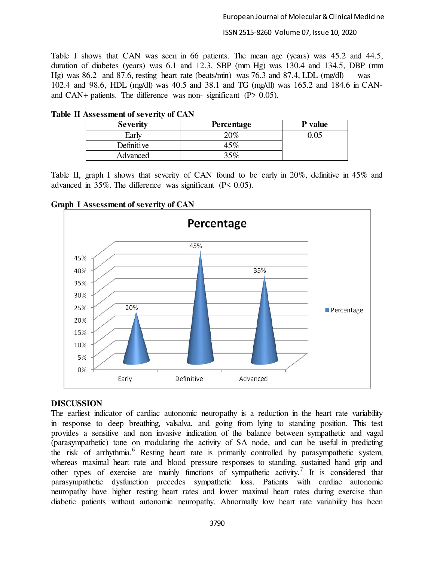ISSN 2515-8260 Volume 07, Issue 10, 2020

Table I shows that CAN was seen in 66 patients. The mean age (years) was 45.2 and 44.5, duration of diabetes (years) was 6.1 and 12.3, SBP (mm Hg) was 130.4 and 134.5, DBP (mm Hg) was 86.2 and 87.6, resting heart rate (beats/min) was 76.3 and 87.4, LDL (mg/dl) was 102.4 and 98.6, HDL (mg/dl) was 40.5 and 38.1 and TG (mg/dl) was 165.2 and 184.6 in CANand CAN+ patients. The difference was non- significant (P> 0.05).

| <b>Severity</b> | <b>Percentage</b> | P value |
|-----------------|-------------------|---------|
| Early           | 20%               | ).05    |
| Definitive      | 45%               |         |
| Advanced        | 35%               |         |

**Table II Assessment of severity of CAN** 

Table II, graph I shows that severity of CAN found to be early in 20%, definitive in 45% and advanced in 35%. The difference was significant (P< 0.05).



**Graph I Assessment of severity of CAN**

# **DISCUSSION**

The earliest indicator of cardiac autonomic neuropathy is a reduction in the heart rate variability in response to deep breathing, valsalva, and going from lying to standing position. This test provides a sensitive and non invasive indication of the balance between sympathetic and vagal (parasympathetic) tone on modulating the activity of SA node, and can be useful in predicting the risk of arrhythmia.<sup>6</sup> Resting heart rate is primarily controlled by parasympathetic system, whereas maximal heart rate and blood pressure responses to standing, sustained hand grip and other types of exercise are mainly functions of sympathetic activity.<sup>7</sup> It is considered that parasympathetic dysfunction precedes sympathetic loss. Patients with cardiac autonomic neuropathy have higher resting heart rates and lower maximal heart rates during exercise than diabetic patients without autonomic neuropathy. Abnormally low heart rate variability has been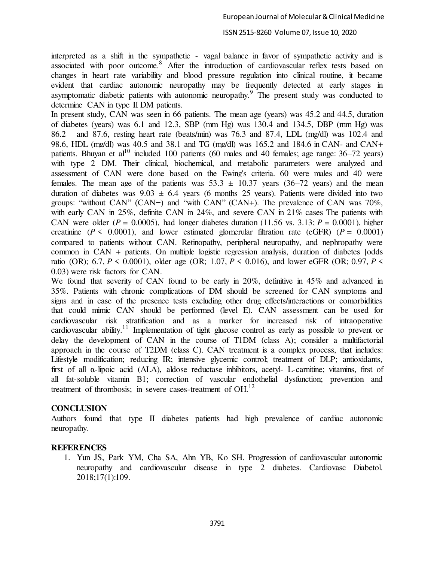## ISSN 2515-8260 Volume 07, Issue 10, 2020

interpreted as a shift in the sympathetic - vagal balance in favor of sympathetic activity and is associated with poor outcome.<sup>8</sup> After the introduction of cardiovascular reflex tests based on changes in heart rate variability and blood pressure regulation into clinical routine, it became evident that cardiac autonomic neuropathy may be frequently detected at early stages in asymptomatic diabetic patients with autonomic neuropathy.<sup>9</sup> The present study was conducted to determine CAN in type II DM patients.

In present study, CAN was seen in 66 patients. The mean age (years) was 45.2 and 44.5, duration of diabetes (years) was 6.1 and 12.3, SBP (mm Hg) was 130.4 and 134.5, DBP (mm Hg) was 86.2 and 87.6, resting heart rate (beats/min) was 76.3 and 87.4, LDL (mg/dl) was 102.4 and 98.6, HDL (mg/dl) was 40.5 and 38.1 and TG (mg/dl) was 165.2 and 184.6 in CAN- and CAN+ patients. Bhuyan et al<sup>10</sup> included 100 patients (60 males and 40 females; age range:  $36-72$  years) with type 2 DM. Their clinical, biochemical, and metabolic parameters were analyzed and assessment of CAN were done based on the Ewing's criteria. 60 were males and 40 were females. The mean age of the patients was  $53.3 \pm 10.37$  years (36–72 years) and the mean duration of diabetes was  $9.03 \pm 6.4$  years (6 months–25 years). Patients were divided into two groups: "without CAN" (CAN−) and "with CAN" (CAN+). The prevalence of CAN was 70%, with early CAN in 25%, definite CAN in 24%, and severe CAN in 21% cases The patients with CAN were older ( $P = 0.0005$ ), had longer diabetes duration (11.56 vs. 3.13;  $P = 0.0001$ ), higher creatinine ( $P \le 0.0001$ ), and lower estimated glomerular filtration rate ( $eGFR$ ) ( $P = 0.0001$ ) compared to patients without CAN. Retinopathy, peripheral neuropathy, and nephropathy were common in CAN + patients. On multiple logistic regression analysis, duration of diabetes [odds ratio (OR); 6.7, *P* < 0.0001), older age (OR; 1.07, *P* < 0.016), and lower eGFR (OR; 0.97, *P* < 0.03) were risk factors for CAN.

We found that severity of CAN found to be early in 20%, definitive in 45% and advanced in 35%. Patients with chronic complications of DM should be screened for CAN symptoms and signs and in case of the presence tests excluding other drug effects/interactions or comorbidities that could mimic CAN should be performed (level E). CAN assessment can be used for cardiovascular risk stratification and as a marker for increased risk of intraoperative cardiovascular ability.<sup>11</sup> Implementation of tight glucose control as early as possible to prevent or delay the development of CAN in the course of T1DM (class A); consider a multifactorial approach in the course of T2DM (class C). CAN treatment is a complex process, that includes: Lifestyle modification; reducing IR; intensive glycemic control; treatment of DLP; antioxidants, first of all α-lipoic acid (ALA), aldose reductase inhibitors, acetyl- L-carnitine; vitamins, first of all fat-soluble vitamin B1; correction of vascular endothelial dysfunction; prevention and treatment of thrombosis; in severe cases-treatment of  $OH$ .<sup>12</sup>

## **CONCLUSION**

Authors found that type II diabetes patients had high prevalence of cardiac autonomic neuropathy.

## **REFERENCES**

1. Yun JS, Park YM, Cha SA, Ahn YB, Ko SH. Progression of cardiovascular autonomic neuropathy and cardiovascular disease in type 2 diabetes. Cardiovasc Diabetol. 2018;17(1):109.